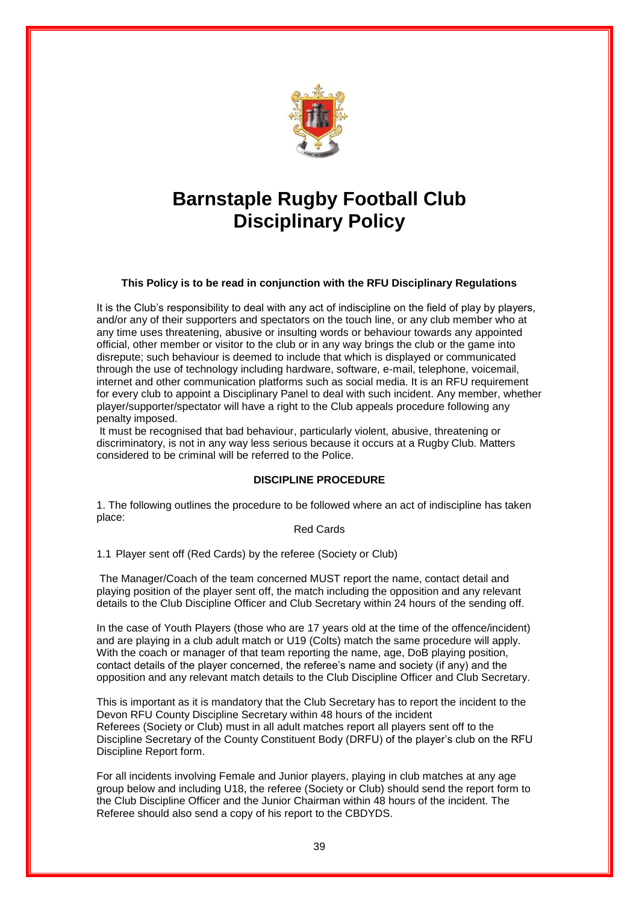

# **Barnstaple Rugby Football Club Disciplinary Policy**

**This Policy is to be read in conjunction with the RFU Disciplinary Regulations**

It is the Club's responsibility to deal with any act of indiscipline on the field of play by players, and/or any of their supporters and spectators on the touch line, or any club member who at any time uses threatening, abusive or insulting words or behaviour towards any appointed official, other member or visitor to the club or in any way brings the club or the game into disrepute; such behaviour is deemed to include that which is displayed or communicated through the use of technology including hardware, software, e-mail, telephone, voicemail, internet and other communication platforms such as social media. It is an RFU requirement for every club to appoint a Disciplinary Panel to deal with such incident. Any member, whether player/supporter/spectator will have a right to the Club appeals procedure following any penalty imposed.

It must be recognised that bad behaviour, particularly violent, abusive, threatening or discriminatory, is not in any way less serious because it occurs at a Rugby Club. Matters considered to be criminal will be referred to the Police.

## **DISCIPLINE PROCEDURE**

1. The following outlines the procedure to be followed where an act of indiscipline has taken place:

Red Cards

1.1 Player sent off (Red Cards) by the referee (Society or Club)

The Manager/Coach of the team concerned MUST report the name, contact detail and playing position of the player sent off, the match including the opposition and any relevant details to the Club Discipline Officer and Club Secretary within 24 hours of the sending off.

In the case of Youth Players (those who are 17 years old at the time of the offence/incident) and are playing in a club adult match or U19 (Colts) match the same procedure will apply. With the coach or manager of that team reporting the name, age, DoB playing position, contact details of the player concerned, the referee's name and society (if any) and the opposition and any relevant match details to the Club Discipline Officer and Club Secretary.

This is important as it is mandatory that the Club Secretary has to report the incident to the Devon RFU County Discipline Secretary within 48 hours of the incident Referees (Society or Club) must in all adult matches report all players sent off to the Discipline Secretary of the County Constituent Body (DRFU) of the player's club on the RFU Discipline Report form.

For all incidents involving Female and Junior players, playing in club matches at any age group below and including U18, the referee (Society or Club) should send the report form to the Club Discipline Officer and the Junior Chairman within 48 hours of the incident. The Referee should also send a copy of his report to the CBDYDS.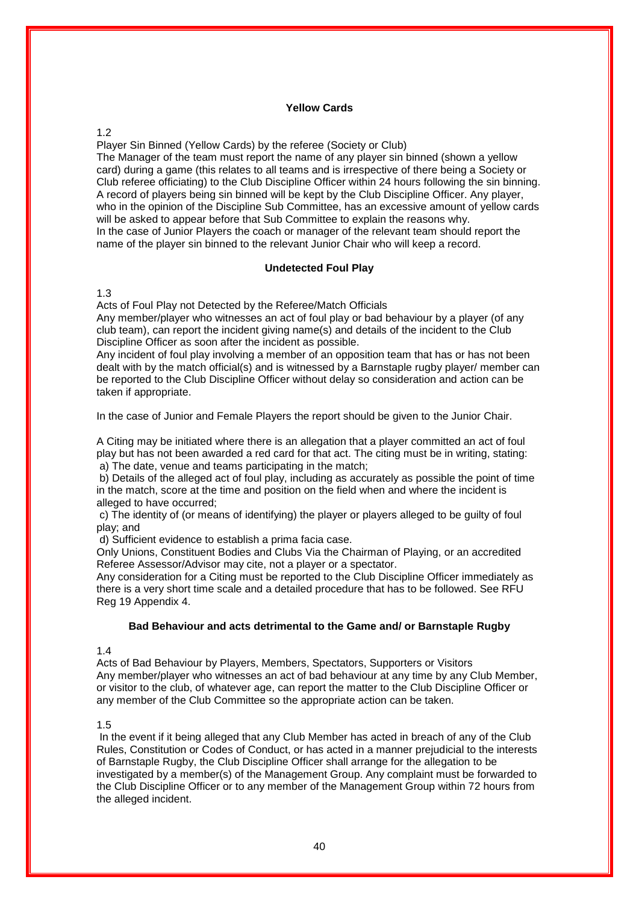#### **Yellow Cards**

## 1.2

Player Sin Binned (Yellow Cards) by the referee (Society or Club) The Manager of the team must report the name of any player sin binned (shown a yellow card) during a game (this relates to all teams and is irrespective of there being a Society or Club referee officiating) to the Club Discipline Officer within 24 hours following the sin binning. A record of players being sin binned will be kept by the Club Discipline Officer. Any player, who in the opinion of the Discipline Sub Committee, has an excessive amount of yellow cards will be asked to appear before that Sub Committee to explain the reasons why. In the case of Junior Players the coach or manager of the relevant team should report the name of the player sin binned to the relevant Junior Chair who will keep a record.

## **Undetected Foul Play**

#### 1.3

Acts of Foul Play not Detected by the Referee/Match Officials

Any member/player who witnesses an act of foul play or bad behaviour by a player (of any club team), can report the incident giving name(s) and details of the incident to the Club Discipline Officer as soon after the incident as possible.

Any incident of foul play involving a member of an opposition team that has or has not been dealt with by the match official(s) and is witnessed by a Barnstaple rugby player/ member can be reported to the Club Discipline Officer without delay so consideration and action can be taken if appropriate.

In the case of Junior and Female Players the report should be given to the Junior Chair.

A Citing may be initiated where there is an allegation that a player committed an act of foul play but has not been awarded a red card for that act. The citing must be in writing, stating: a) The date, venue and teams participating in the match;

b) Details of the alleged act of foul play, including as accurately as possible the point of time in the match, score at the time and position on the field when and where the incident is alleged to have occurred;

c) The identity of (or means of identifying) the player or players alleged to be guilty of foul play; and

d) Sufficient evidence to establish a prima facia case.

Only Unions, Constituent Bodies and Clubs Via the Chairman of Playing, or an accredited Referee Assessor/Advisor may cite, not a player or a spectator.

Any consideration for a Citing must be reported to the Club Discipline Officer immediately as there is a very short time scale and a detailed procedure that has to be followed. See RFU Reg 19 Appendix 4.

#### **Bad Behaviour and acts detrimental to the Game and/ or Barnstaple Rugby**

# 1.4

Acts of Bad Behaviour by Players, Members, Spectators, Supporters or Visitors Any member/player who witnesses an act of bad behaviour at any time by any Club Member, or visitor to the club, of whatever age, can report the matter to the Club Discipline Officer or any member of the Club Committee so the appropriate action can be taken.

#### 1.5

In the event if it being alleged that any Club Member has acted in breach of any of the Club Rules, Constitution or Codes of Conduct, or has acted in a manner prejudicial to the interests of Barnstaple Rugby, the Club Discipline Officer shall arrange for the allegation to be investigated by a member(s) of the Management Group. Any complaint must be forwarded to the Club Discipline Officer or to any member of the Management Group within 72 hours from the alleged incident.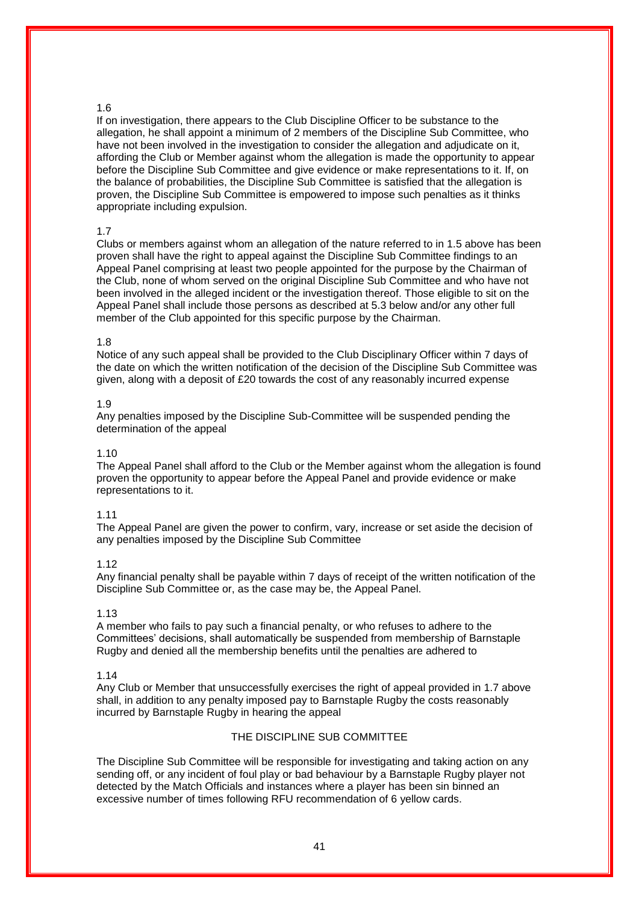## 1.6

If on investigation, there appears to the Club Discipline Officer to be substance to the allegation, he shall appoint a minimum of 2 members of the Discipline Sub Committee, who have not been involved in the investigation to consider the allegation and adjudicate on it, affording the Club or Member against whom the allegation is made the opportunity to appear before the Discipline Sub Committee and give evidence or make representations to it. If, on the balance of probabilities, the Discipline Sub Committee is satisfied that the allegation is proven, the Discipline Sub Committee is empowered to impose such penalties as it thinks appropriate including expulsion.

## 1.7

Clubs or members against whom an allegation of the nature referred to in 1.5 above has been proven shall have the right to appeal against the Discipline Sub Committee findings to an Appeal Panel comprising at least two people appointed for the purpose by the Chairman of the Club, none of whom served on the original Discipline Sub Committee and who have not been involved in the alleged incident or the investigation thereof. Those eligible to sit on the Appeal Panel shall include those persons as described at 5.3 below and/or any other full member of the Club appointed for this specific purpose by the Chairman.

#### 1.8

Notice of any such appeal shall be provided to the Club Disciplinary Officer within 7 days of the date on which the written notification of the decision of the Discipline Sub Committee was given, along with a deposit of £20 towards the cost of any reasonably incurred expense

#### 1.9

Any penalties imposed by the Discipline Sub-Committee will be suspended pending the determination of the appeal

#### 1.10

The Appeal Panel shall afford to the Club or the Member against whom the allegation is found proven the opportunity to appear before the Appeal Panel and provide evidence or make representations to it.

#### 1.11

The Appeal Panel are given the power to confirm, vary, increase or set aside the decision of any penalties imposed by the Discipline Sub Committee

#### 1.12

Any financial penalty shall be payable within 7 days of receipt of the written notification of the Discipline Sub Committee or, as the case may be, the Appeal Panel.

#### 1.13

A member who fails to pay such a financial penalty, or who refuses to adhere to the Committees' decisions, shall automatically be suspended from membership of Barnstaple Rugby and denied all the membership benefits until the penalties are adhered to

## 1.14

Any Club or Member that unsuccessfully exercises the right of appeal provided in 1.7 above shall, in addition to any penalty imposed pay to Barnstaple Rugby the costs reasonably incurred by Barnstaple Rugby in hearing the appeal

## THE DISCIPLINE SUB COMMITTEE

The Discipline Sub Committee will be responsible for investigating and taking action on any sending off, or any incident of foul play or bad behaviour by a Barnstaple Rugby player not detected by the Match Officials and instances where a player has been sin binned an excessive number of times following RFU recommendation of 6 yellow cards.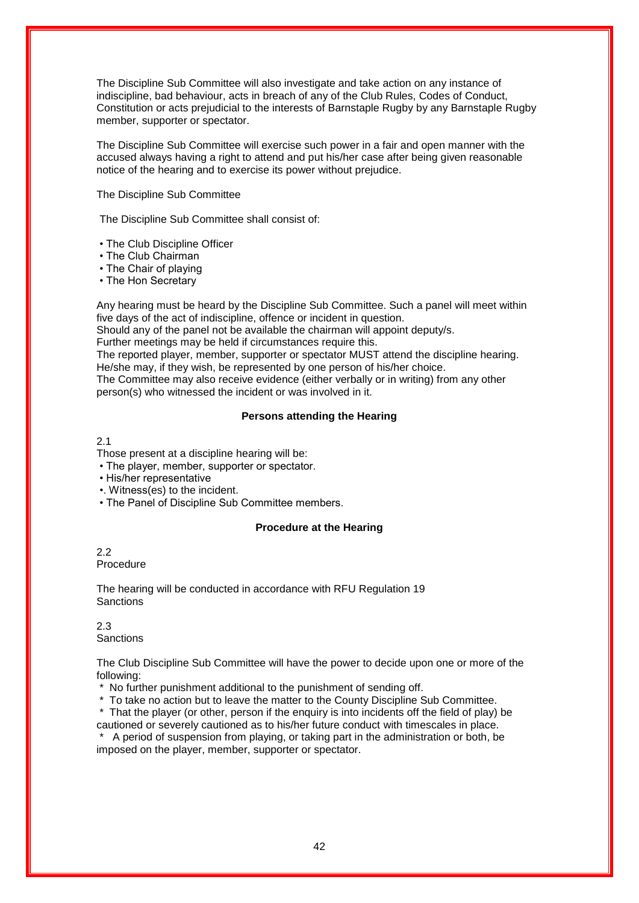The Discipline Sub Committee will also investigate and take action on any instance of indiscipline, bad behaviour, acts in breach of any of the Club Rules, Codes of Conduct, Constitution or acts prejudicial to the interests of Barnstaple Rugby by any Barnstaple Rugby member, supporter or spectator.

The Discipline Sub Committee will exercise such power in a fair and open manner with the accused always having a right to attend and put his/her case after being given reasonable notice of the hearing and to exercise its power without prejudice.

The Discipline Sub Committee

The Discipline Sub Committee shall consist of:

- The Club Discipline Officer
- The Club Chairman
- The Chair of playing
- The Hon Secretary

Any hearing must be heard by the Discipline Sub Committee. Such a panel will meet within five days of the act of indiscipline, offence or incident in question.

Should any of the panel not be available the chairman will appoint deputy/s.

Further meetings may be held if circumstances require this.

The reported player, member, supporter or spectator MUST attend the discipline hearing. He/she may, if they wish, be represented by one person of his/her choice.

The Committee may also receive evidence (either verbally or in writing) from any other person(s) who witnessed the incident or was involved in it.

# **Persons attending the Hearing**

## 2.1

Those present at a discipline hearing will be:

- The player, member, supporter or spectator.
- His/her representative
- •. Witness(es) to the incident.
- The Panel of Discipline Sub Committee members.

## **Procedure at the Hearing**

2.2 Procedure

The hearing will be conducted in accordance with RFU Regulation 19 **Sanctions** 

2.3 **Sanctions** 

The Club Discipline Sub Committee will have the power to decide upon one or more of the following:

\* No further punishment additional to the punishment of sending off.

\* To take no action but to leave the matter to the County Discipline Sub Committee.

\* That the player (or other, person if the enquiry is into incidents off the field of play) be cautioned or severely cautioned as to his/her future conduct with timescales in place.

A period of suspension from playing, or taking part in the administration or both, be imposed on the player, member, supporter or spectator.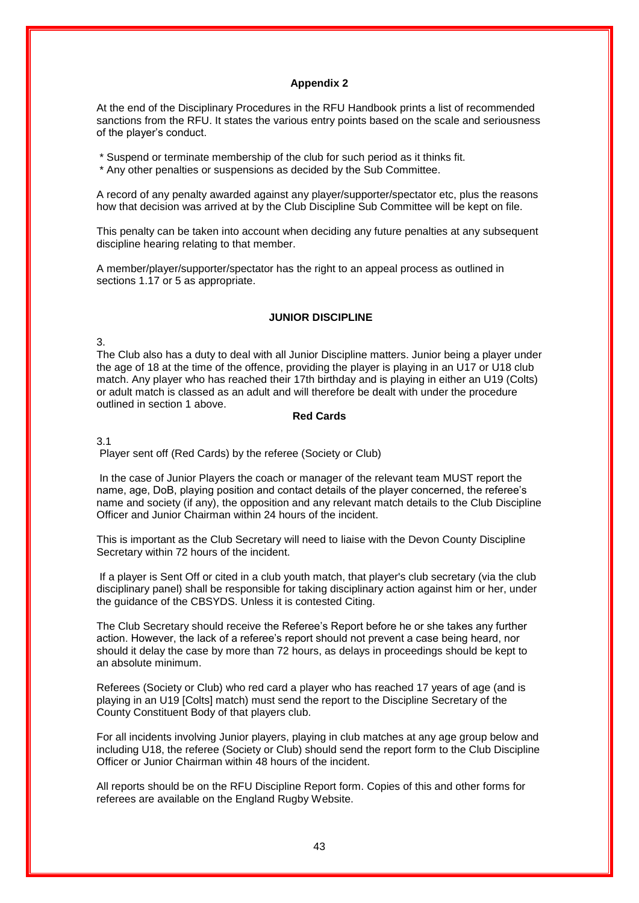## **Appendix 2**

At the end of the Disciplinary Procedures in the RFU Handbook prints a list of recommended sanctions from the RFU. It states the various entry points based on the scale and seriousness of the player's conduct.

\* Suspend or terminate membership of the club for such period as it thinks fit.

\* Any other penalties or suspensions as decided by the Sub Committee.

A record of any penalty awarded against any player/supporter/spectator etc, plus the reasons how that decision was arrived at by the Club Discipline Sub Committee will be kept on file.

This penalty can be taken into account when deciding any future penalties at any subsequent discipline hearing relating to that member.

A member/player/supporter/spectator has the right to an appeal process as outlined in sections 1.17 or 5 as appropriate.

## **JUNIOR DISCIPLINE**

#### 3.

The Club also has a duty to deal with all Junior Discipline matters. Junior being a player under the age of 18 at the time of the offence, providing the player is playing in an U17 or U18 club match. Any player who has reached their 17th birthday and is playing in either an U19 (Colts) or adult match is classed as an adult and will therefore be dealt with under the procedure outlined in section 1 above.

## **Red Cards**

## 3.1

Player sent off (Red Cards) by the referee (Society or Club)

In the case of Junior Players the coach or manager of the relevant team MUST report the name, age, DoB, playing position and contact details of the player concerned, the referee's name and society (if any), the opposition and any relevant match details to the Club Discipline Officer and Junior Chairman within 24 hours of the incident.

This is important as the Club Secretary will need to liaise with the Devon County Discipline Secretary within 72 hours of the incident.

If a player is Sent Off or cited in a club youth match, that player's club secretary (via the club disciplinary panel) shall be responsible for taking disciplinary action against him or her, under the guidance of the CBSYDS. Unless it is contested Citing.

The Club Secretary should receive the Referee's Report before he or she takes any further action. However, the lack of a referee's report should not prevent a case being heard, nor should it delay the case by more than 72 hours, as delays in proceedings should be kept to an absolute minimum.

Referees (Society or Club) who red card a player who has reached 17 years of age (and is playing in an U19 [Colts] match) must send the report to the Discipline Secretary of the County Constituent Body of that players club.

For all incidents involving Junior players, playing in club matches at any age group below and including U18, the referee (Society or Club) should send the report form to the Club Discipline Officer or Junior Chairman within 48 hours of the incident.

All reports should be on the RFU Discipline Report form. Copies of this and other forms for referees are available on the England Rugby Website.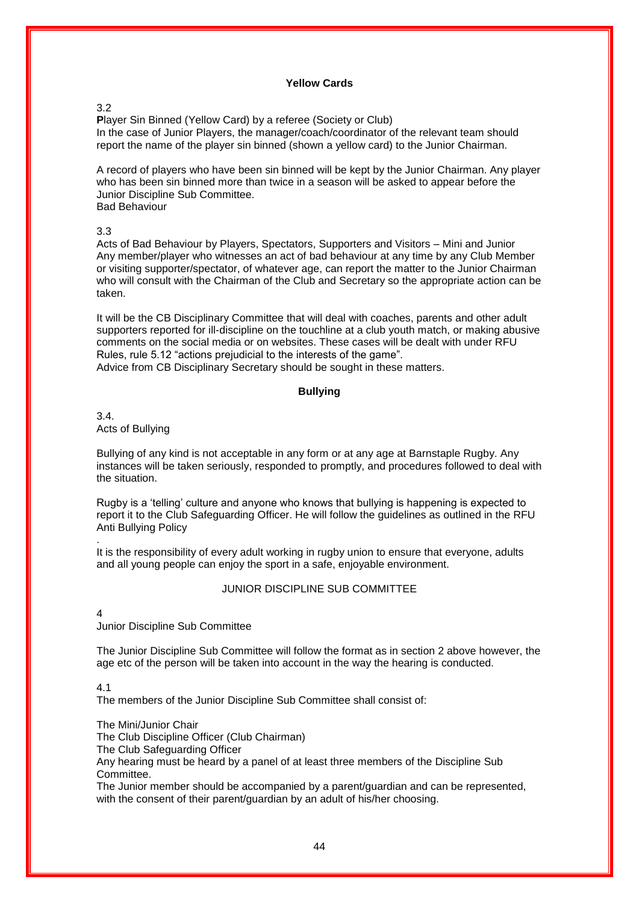## **Yellow Cards**

## 3.2

**P**layer Sin Binned (Yellow Card) by a referee (Society or Club) In the case of Junior Players, the manager/coach/coordinator of the relevant team should report the name of the player sin binned (shown a yellow card) to the Junior Chairman.

A record of players who have been sin binned will be kept by the Junior Chairman. Any player who has been sin binned more than twice in a season will be asked to appear before the Junior Discipline Sub Committee. Bad Behaviour

## 3.3

Acts of Bad Behaviour by Players, Spectators, Supporters and Visitors – Mini and Junior Any member/player who witnesses an act of bad behaviour at any time by any Club Member or visiting supporter/spectator, of whatever age, can report the matter to the Junior Chairman who will consult with the Chairman of the Club and Secretary so the appropriate action can be taken.

It will be the CB Disciplinary Committee that will deal with coaches, parents and other adult supporters reported for ill-discipline on the touchline at a club youth match, or making abusive comments on the social media or on websites. These cases will be dealt with under RFU Rules, rule 5.12 "actions prejudicial to the interests of the game". Advice from CB Disciplinary Secretary should be sought in these matters.

# **Bullying**

3.4. Acts of Bullying

Bullying of any kind is not acceptable in any form or at any age at Barnstaple Rugby. Any instances will be taken seriously, responded to promptly, and procedures followed to deal with the situation.

Rugby is a 'telling' culture and anyone who knows that bullying is happening is expected to report it to the Club Safeguarding Officer. He will follow the guidelines as outlined in the RFU Anti Bullying Policy

It is the responsibility of every adult working in rugby union to ensure that everyone, adults and all young people can enjoy the sport in a safe, enjoyable environment.

## JUNIOR DISCIPLINE SUB COMMITTEE

4

.

Junior Discipline Sub Committee

The Junior Discipline Sub Committee will follow the format as in section 2 above however, the age etc of the person will be taken into account in the way the hearing is conducted.

#### 4.1

The members of the Junior Discipline Sub Committee shall consist of:

The Mini/Junior Chair

The Club Discipline Officer (Club Chairman)

The Club Safeguarding Officer

Any hearing must be heard by a panel of at least three members of the Discipline Sub Committee.

The Junior member should be accompanied by a parent/guardian and can be represented, with the consent of their parent/guardian by an adult of his/her choosing.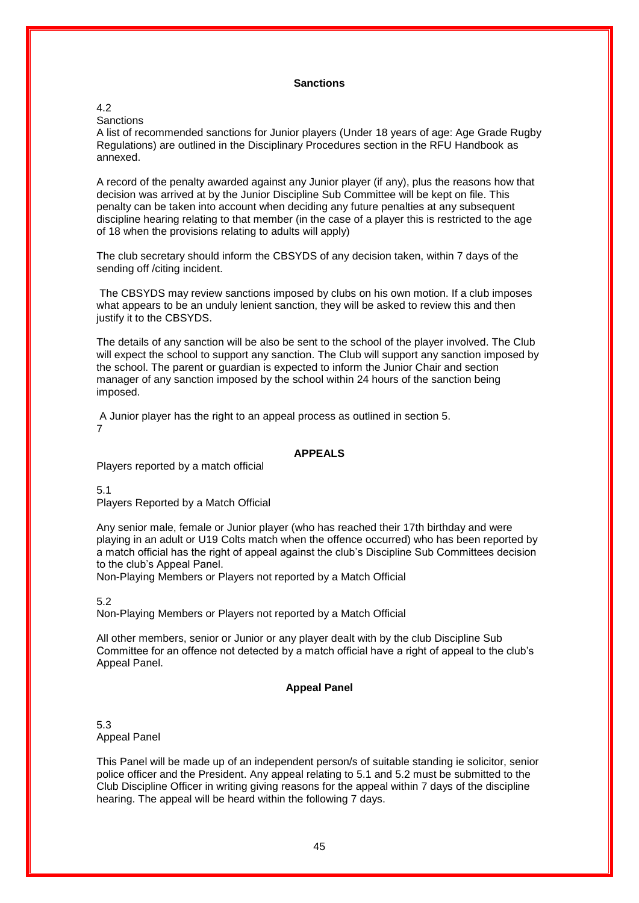## **Sanctions**

# 4.2

**Sanctions** 

A list of recommended sanctions for Junior players (Under 18 years of age: Age Grade Rugby Regulations) are outlined in the Disciplinary Procedures section in the RFU Handbook as annexed.

A record of the penalty awarded against any Junior player (if any), plus the reasons how that decision was arrived at by the Junior Discipline Sub Committee will be kept on file. This penalty can be taken into account when deciding any future penalties at any subsequent discipline hearing relating to that member (in the case of a player this is restricted to the age of 18 when the provisions relating to adults will apply)

The club secretary should inform the CBSYDS of any decision taken, within 7 days of the sending off /citing incident.

The CBSYDS may review sanctions imposed by clubs on his own motion. If a club imposes what appears to be an unduly lenient sanction, they will be asked to review this and then justify it to the CBSYDS.

The details of any sanction will be also be sent to the school of the player involved. The Club will expect the school to support any sanction. The Club will support any sanction imposed by the school. The parent or guardian is expected to inform the Junior Chair and section manager of any sanction imposed by the school within 24 hours of the sanction being imposed.

A Junior player has the right to an appeal process as outlined in section 5. 7

# **APPEALS**

Players reported by a match official

5.1

Players Reported by a Match Official

Any senior male, female or Junior player (who has reached their 17th birthday and were playing in an adult or U19 Colts match when the offence occurred) who has been reported by a match official has the right of appeal against the club's Discipline Sub Committees decision to the club's Appeal Panel.

Non-Playing Members or Players not reported by a Match Official

5.2

Non-Playing Members or Players not reported by a Match Official

All other members, senior or Junior or any player dealt with by the club Discipline Sub Committee for an offence not detected by a match official have a right of appeal to the club's Appeal Panel.

## **Appeal Panel**

5.3 Appeal Panel

This Panel will be made up of an independent person/s of suitable standing ie solicitor, senior police officer and the President. Any appeal relating to 5.1 and 5.2 must be submitted to the Club Discipline Officer in writing giving reasons for the appeal within 7 days of the discipline hearing. The appeal will be heard within the following 7 days.